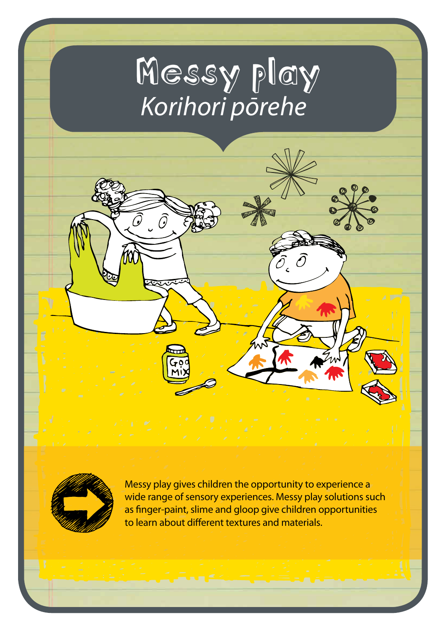# Messy play *Korihori pōrehe*

 $\bm{\theta}$ 



Messy play gives children the opportunity to experience a wide range of sensory experiences. Messy play solutions such as finger-paint, slime and gloop give children opportunities to learn about different textures and materials.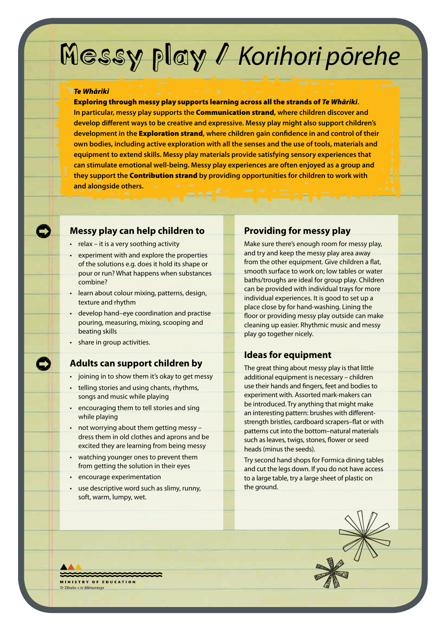# Messy play / *Korihori pōrehe*

#### *Te Whāriki*

Exploring through messy play supports learning across all the strands of *Te Whāriki***. In particular, messy play supports the** Communication strand**, where children discover and develop different ways to be creative and expressive. Messy play might also support children's development in the** Exploration strand**, where children gain confidence in and control of their own bodies, including active exploration with all the senses and the use of tools, materials and equipment to extend skills. Messy play materials provide satisfying sensory experiences that can stimulate emotional well-being. Messy play experiences are often enjoyed as a group and they support the** Contribution strand **by providing opportunities for children to work with and alongside others.**

#### **Messy play can help children to**

- relax it is a very soothing activity
- experiment with and explore the properties of the solutions e.g. does it hold its shape or pour or run? What happens when substances combine?
- learn about colour mixing, patterns, design, texture and rhythm
- develop hand–eye coordination and practise pouring, measuring, mixing, scooping and beating skills
- share in group activities.

#### **Adults can support children by**

- joining in to show them it's okay to get messy
- telling stories and using chants, rhythms, songs and music while playing
- encouraging them to tell stories and sing while playing
- not worrying about them getting messy dress them in old clothes and aprons and be excited they are learning from being messy
- watching younger ones to prevent them from getting the solution in their eyes
- encourage experimentation
- use descriptive word such as slimy, runny, soft, warm, lumpy, wet.

#### **Providing for messy play**

Make sure there's enough room for messy play, and try and keep the messy play area away from the other equipment. Give children a flat, smooth surface to work on; low tables or water baths/troughs are ideal for group play. Children can be provided with individual trays for more individual experiences. It is good to set up a place close by for hand-washing. Lining the floor or providing messy play outside can make cleaning up easier. Rhythmic music and messy play go together nicely.

#### **Ideas for equipment**

The great thing about messy play is that little additional equipment is necessary – children use their hands and fingers, feet and bodies to experiment with. Assorted mark-makers can be introduced. Try anything that might make an interesting pattern: brushes with differentstrength bristles, cardboard scrapers–flat or with patterns cut into the bottom–natural materials such as leaves, twigs, stones, flower or seed heads (minus the seeds).

Try second hand shops for Formica dining tables and cut the legs down. If you do not have access to a large table, try a large sheet of plastic on the ground.



**INISTRY OF FRUCATION** Tāhuhu o te Mātauranga